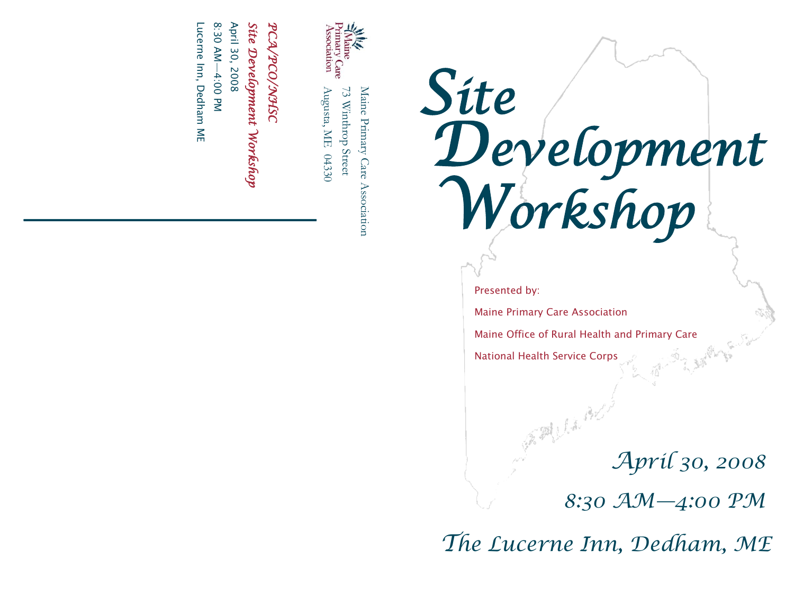

Maine Primary Care Augusta, ME  $04330$ Augusta, ME 04330 73 Winthrop Street Maine Primary Care Association <sup>73</sup> Winthrop Street Association

## *PCA/PCO/NHSC*<br>Site *Development Workshop*<br>April 30, 2008

Lucerne Inn, Dedham ME 8:30 AM-4:00 PM Lucerne Inn, Dedham ME  $\overline{\phantom{a}}$ 

*Site Development Workshop*

Presented by:

Maine Primary Care Association

Maine Office of Rural Health and Primary Care

National Health Service Corps

*April 30, 2008*

*8:30 AM—4:00 PM*

*The Lucerne Inn, Dedham, ME*